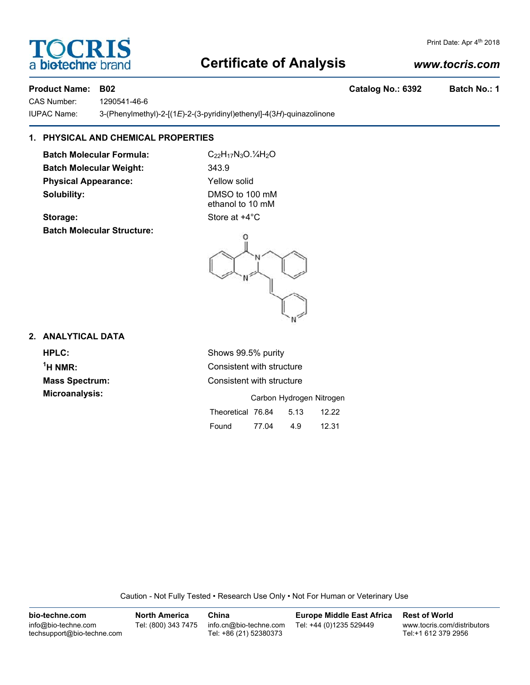### **Certificate of Analysis**

#### *www.tocris.com*

Print Date: Apr 4th 2018

CAS Number: 1290541-46-6 IUPAC Name: 3-(Phenylmethyl)-2-[(1*E*)-2-(3-pyridinyl)ethenyl]-4(3*H*)-quinazolinone

#### **1. PHYSICAL AND CHEMICAL PROPERTIES**

**Batch Molecular Formula:** C<sub>22</sub>H<sub>17</sub>N<sub>3</sub>O.<sup>1</sup>/<sub>4</sub>H<sub>2</sub>O **Batch Molecular Weight:** 343.9 **Physical Appearance:** Yellow solid **Solubility:** DMSO to 100 mM

**Storage:** Store at  $+4^{\circ}$ C **Batch Molecular Structure:**

ethanol to 10 mM

# N

#### **2. ANALYTICAL DATA**

**HPLC:** Shows 99.5% purity  $<sup>1</sup>H NMR$ </sup> **Microanalysis:** 

**Consistent with structure Mass Spectrum:** Consistent with structure

|                   |       | Carbon Hydrogen Nitrogen |       |
|-------------------|-------|--------------------------|-------|
| Theoretical 76.84 |       | 5.13                     | 12.22 |
| Found             | 77.04 | 4.9                      | 12.31 |

Caution - Not Fully Tested • Research Use Only • Not For Human or Veterinary Use

**bio-techne.com** info@bio-techne.com techsupport@bio-techne.com **North America** Tel: (800) 343 7475 **China** info.cn@bio-techne.com Tel: +86 (21) 52380373 **Europe Middle East Africa** Tel: +44 (0)1235 529449 **Rest of World** www.tocris.com/distributors Tel:+1 612 379 2956



**Product Name: B02 Catalog No.: 6392 Batch No.: 1**